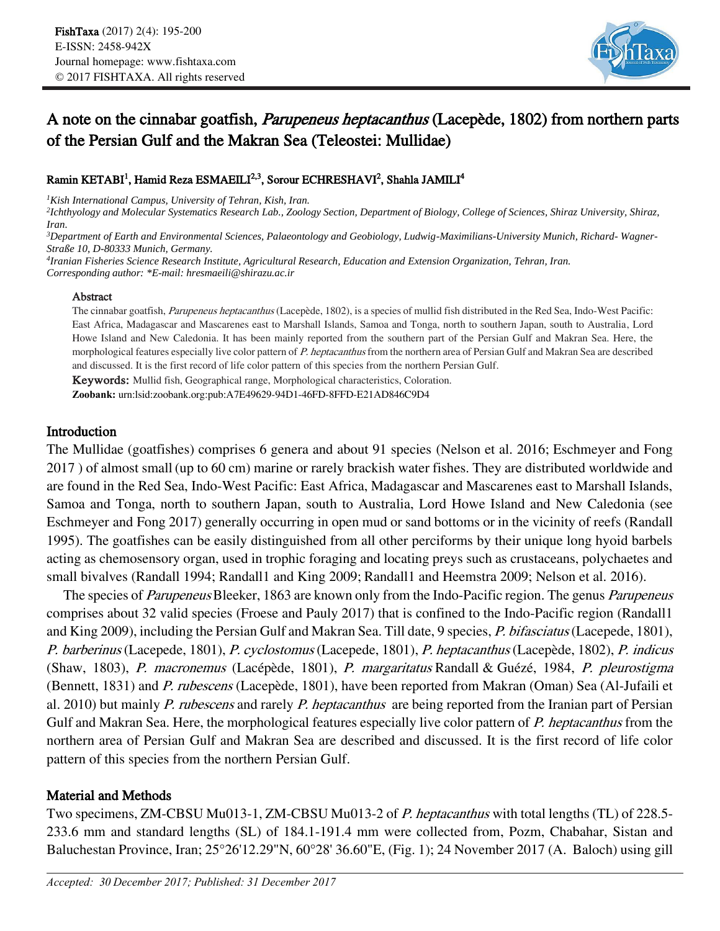

# A note on the cinnabar goatfish, Parupeneus heptacanthus (Lacepède, 1802) from northern parts of the Persian Gulf and the Makran Sea (Teleostei: Mullidae)

## Ramin KETABI<sup>1</sup>, Hamid Reza ESMAEILI<sup>2,3</sup>, Sorour ECHRESHAVI<sup>2</sup>, Shahla JAMILI<sup>4</sup>

*<sup>1</sup>Kish International Campus, University of Tehran, Kish, Iran.*

*2 Ichthyology and Molecular Systematics Research Lab., Zoology Section, Department of Biology, College of Sciences, Shiraz University, Shiraz, Iran.* 

*<sup>3</sup>Department of Earth and Environmental Sciences, Palaeontology and Geobiology, Ludwig-Maximilians-University Munich, Richard- Wagner-Straße 10, D-80333 Munich, Germany.*

*4 Iranian Fisheries Science Research Institute, Agricultural Research, Education and Extension Organization, Tehran, Iran.*

*Corresponding author: \*E-mail: hresmaeili@shirazu.ac.ir*

#### Abstract

The cinnabar goatfish, Parupeneus heptacanthus (Lacepède, 1802), is a species of mullid fish distributed in the Red Sea, Indo-West Pacific: East Africa, Madagascar and Mascarenes east to Marshall Islands, Samoa and Tonga, north to southern Japan, south to Australia, Lord Howe Island and New Caledonia. It has been mainly reported from the southern part of the Persian Gulf and Makran Sea. Here, the morphological features especially live color pattern of P. heptacanthus from the northern area of Persian Gulf and Makran Sea are described and discussed. It is the first record of life color pattern of this species from the northern Persian Gulf.

Keywords: Mullid fish, Geographical range, Morphological characteristics, Coloration.

**Zoobank:** urn:lsid:zoobank.org:pub:A7E49629-94D1-46FD-8FFD-E21AD846C9D4

## Introduction

The Mullidae (goatfishes) comprises 6 genera and about 91 species (Nelson et al. 2016; Eschmeyer and Fong 2017 ) of almost small (up to 60 cm) marine or rarely brackish water fishes. They are distributed worldwide and are found in the Red Sea, Indo-West Pacific: East Africa, Madagascar and Mascarenes east to Marshall Islands, Samoa and Tonga, north to southern Japan, south to Australia, Lord Howe Island and New Caledonia (see Eschmeyer and Fong 2017) generally occurring in open mud or sand bottoms or in the vicinity of reefs (Randall 1995). The goatfishes can be easily distinguished from all other perciforms by their unique long hyoid barbels acting as chemosensory organ, used in trophic foraging and locating preys such as crustaceans, polychaetes and small bivalves (Randall 1994; Randall1 and King 2009; Randall1 and Heemstra 2009; Nelson et al. 2016).

The species of *Parupeneus* Bleeker, 1863 are known only from the Indo-Pacific region. The genus *Parupeneus* comprises about 32 valid species (Froese and Pauly 2017) that is confined to the Indo-Pacific region (Randall1 and King 2009), including the Persian Gulf and Makran Sea. Till date, 9 species, P. bifasciatus (Lacepede, 1801), P. barberinus (Lacepede, 1801), P. cyclostomus (Lacepede, 1801), P. heptacanthus (Lacepède, 1802), P. indicus (Shaw, 1803), P. macronemus (Lacépède, 1801), P. margaritatus Randall & Guézé, 1984, P. pleurostigma (Bennett, 1831) and P. rubescens (Lacepède, 1801), have been reported from Makran (Oman) Sea (Al-Jufaili et al. 2010) but mainly *P. rubescens* and rarely *P. heptacanthus* are being reported from the Iranian part of Persian Gulf and Makran Sea. Here, the morphological features especially live color pattern of P. heptacanthus from the northern area of Persian Gulf and Makran Sea are described and discussed. It is the first record of life color pattern of this species from the northern Persian Gulf.

## Material and Methods

Two specimens, ZM-CBSU Mu013-1, ZM-CBSU Mu013-2 of P. heptacanthus with total lengths (TL) of 228.5- 233.6 mm and standard lengths (SL) of 184.1-191.4 mm were collected from, Pozm, Chabahar, Sistan and Baluchestan Province, Iran; 25°26'12.29"N, 60°28' 36.60"E, (Fig. 1); 24 November 2017 (A. Baloch) using gill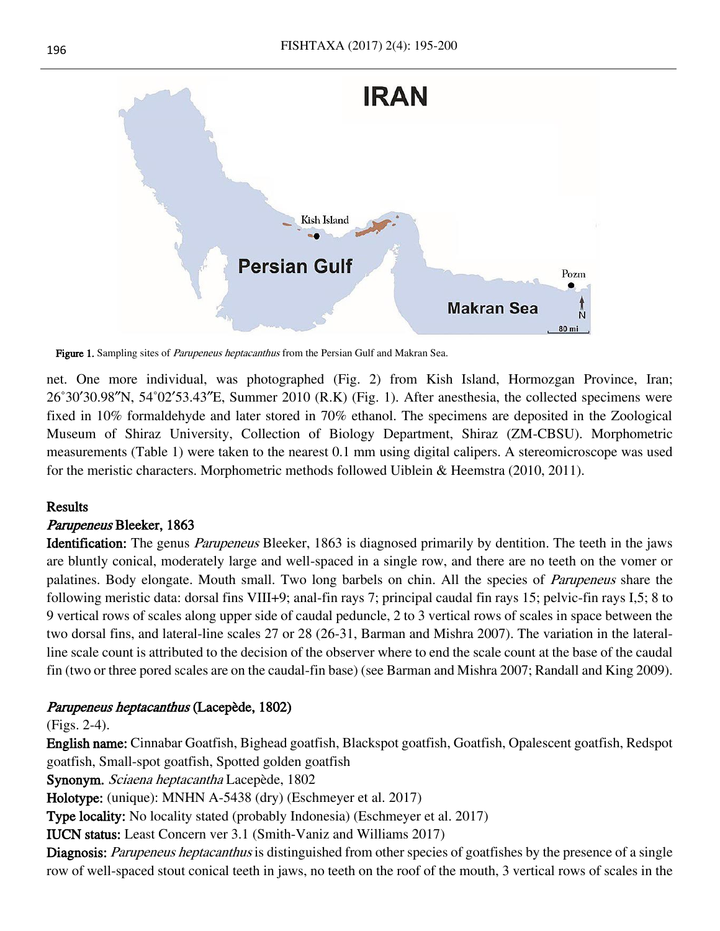

Figure 1. Sampling sites of *Parupeneus heptacanthus* from the Persian Gulf and Makran Sea.

net. One more individual, was photographed (Fig. 2) from Kish Island, Hormozgan Province, Iran; 26˚30′30.98″N, 54˚02′53.43″E, Summer 2010 (R.K) (Fig. 1). After anesthesia, the collected specimens were fixed in 10% formaldehyde and later stored in 70% ethanol. The specimens are deposited in the Zoological Museum of Shiraz University, Collection of Biology Department, Shiraz (ZM-CBSU). Morphometric measurements (Table 1) were taken to the nearest 0.1 mm using digital calipers. A stereomicroscope was used for the meristic characters. Morphometric methods followed Uiblein & Heemstra (2010, 2011).

### Results

### Parupeneus Bleeker, 1863

Identification: The genus Parupeneus Bleeker, 1863 is diagnosed primarily by dentition. The teeth in the jaws are bluntly conical, moderately large and well-spaced in a single row, and there are no teeth on the vomer or palatines. Body elongate. Mouth small. Two long barbels on chin. All the species of Parupeneus share the following meristic data: dorsal fins VIII+9; anal-fin rays 7; principal caudal fin rays 15; pelvic-fin rays I,5; 8 to 9 vertical rows of scales along upper side of caudal peduncle, 2 to 3 vertical rows of scales in space between the two dorsal fins, and lateral-line scales 27 or 28 (26-31, Barman and Mishra 2007). The variation in the lateralline scale count is attributed to the decision of the observer where to end the scale count at the base of the caudal fin (two or three pored scales are on the caudal-fin base) (see Barman and Mishra 2007; Randall and King 2009).

### Parupeneus heptacanthus (Lacepède, 1802)

(Figs. 2-4).

English name: Cinnabar Goatfish, Bighead goatfish, Blackspot goatfish, Goatfish, Opalescent goatfish, Redspot goatfish, Small-spot goatfish, Spotted golden goatfish

Synonym. Sciaena heptacantha Lacepède, 1802

Holotype: (unique): MNHN A-5438 (dry) (Eschmeyer et al. 2017)

Type locality: No locality stated (probably Indonesia) (Eschmeyer et al. 2017)

IUCN status: Least Concern ver 3.1 (Smith-Vaniz and Williams 2017)

Diagnosis: Parupeneus heptacanthus is distinguished from other species of goatfishes by the presence of a single row of well-spaced stout conical teeth in jaws, no teeth on the roof of the mouth, 3 vertical rows of scales in the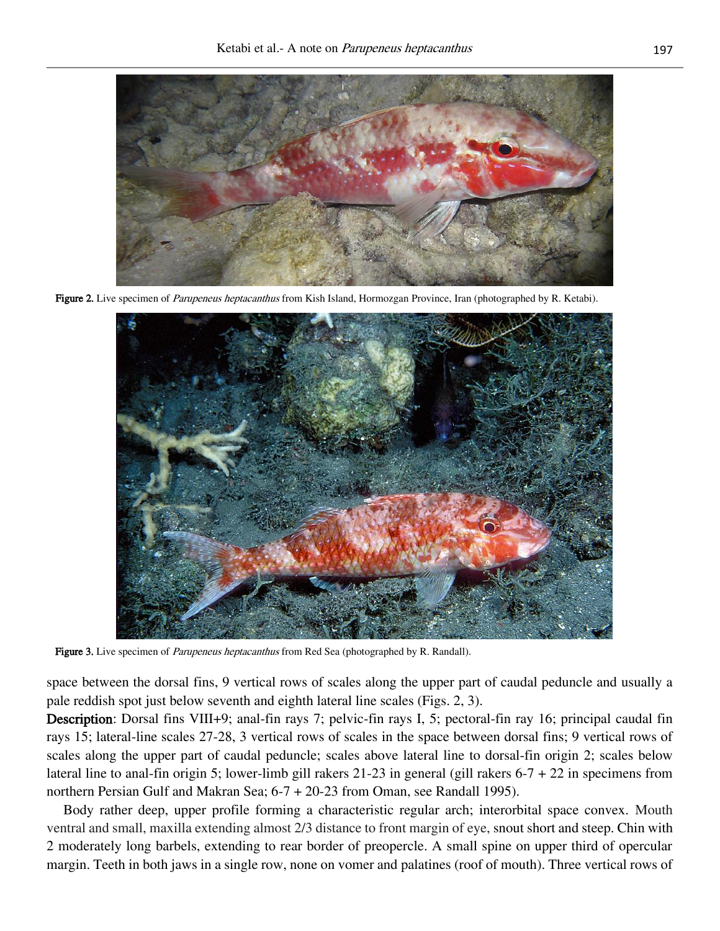

Figure 2. Live specimen of *Parupeneus heptacanthus* from Kish Island, Hormozgan Province, Iran (photographed by R. Ketabi).



Figure 3. Live specimen of *Parupeneus heptacanthus* from Red Sea (photographed by R. Randall).

space between the dorsal fins, 9 vertical rows of scales along the upper part of caudal peduncle and usually a pale reddish spot just below seventh and eighth lateral line scales (Figs. 2, 3).

Description: Dorsal fins VIII+9; anal-fin rays 7; pelvic-fin rays I, 5; pectoral-fin ray 16; principal caudal fin rays 15; lateral-line scales 27-28, 3 vertical rows of scales in the space between dorsal fins; 9 vertical rows of scales along the upper part of caudal peduncle; scales above lateral line to dorsal-fin origin 2; scales below lateral line to anal-fin origin 5; lower-limb gill rakers 21-23 in general (gill rakers 6-7 + 22 in specimens from northern Persian Gulf and Makran Sea; 6-7 + 20-23 from Oman, see Randall 1995).

Body rather deep, upper profile forming a characteristic regular arch; interorbital space convex. Mouth ventral and small, maxilla extending almost 2/3 distance to front margin of eye, snout short and steep. Chin with 2 moderately long barbels, extending to rear border of preopercle. A small spine on upper third of opercular margin. Teeth in both jaws in a single row, none on vomer and palatines (roof of mouth). Three vertical rows of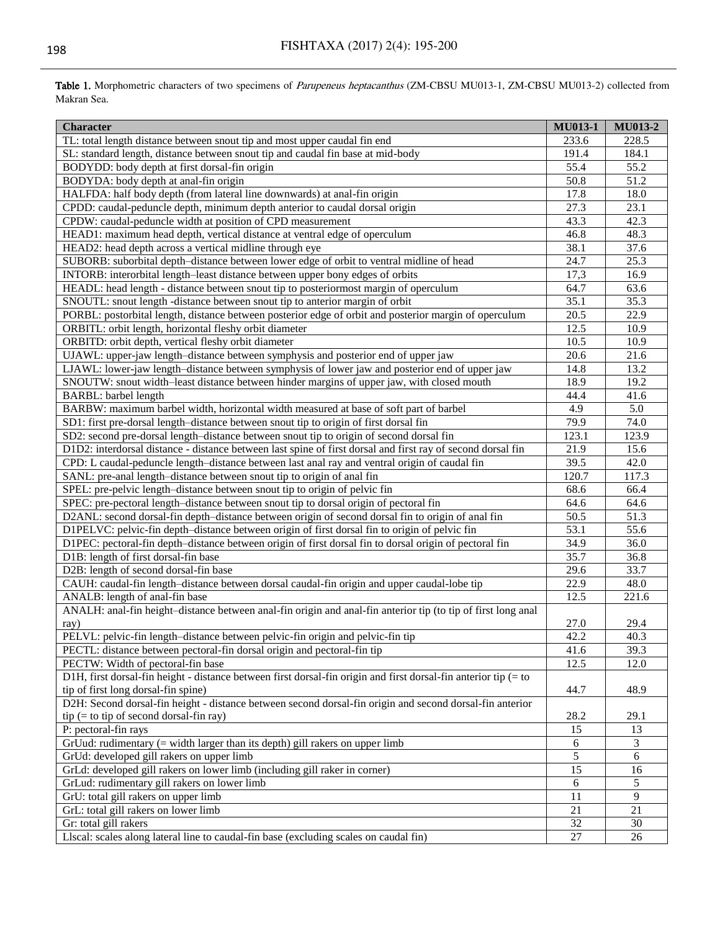| <b>Character</b>                                                                                                | <b>MU013-1</b> | <b>MU013-2</b> |
|-----------------------------------------------------------------------------------------------------------------|----------------|----------------|
| TL: total length distance between snout tip and most upper caudal fin end                                       | 233.6          | 228.5          |
| SL: standard length, distance between snout tip and caudal fin base at mid-body                                 | 191.4          | 184.1          |
| BODYDD: body depth at first dorsal-fin origin                                                                   | 55.4           | 55.2           |
| BODYDA: body depth at anal-fin origin                                                                           | 50.8           | 51.2           |
| HALFDA: half body depth (from lateral line downwards) at anal-fin origin                                        | 17.8           | 18.0           |
| CPDD: caudal-peduncle depth, minimum depth anterior to caudal dorsal origin                                     | 27.3           | 23.1           |
| CPDW: caudal-peduncle width at position of CPD measurement                                                      | 43.3           | 42.3           |
| HEAD1: maximum head depth, vertical distance at ventral edge of operculum                                       | 46.8           | 48.3           |
| HEAD2: head depth across a vertical midline through eye                                                         | 38.1           | 37.6           |
| SUBORB: suborbital depth-distance between lower edge of orbit to ventral midline of head                        | 24.7           | 25.3           |
| INTORB: interorbital length-least distance between upper bony edges of orbits                                   | 17,3           | 16.9           |
| HEADL: head length - distance between snout tip to posteriormost margin of operculum                            | 64.7           | 63.6           |
| SNOUTL: snout length -distance between snout tip to anterior margin of orbit                                    | 35.1           | 35.3           |
| PORBL: postorbital length, distance between posterior edge of orbit and posterior margin of operculum           | 20.5           | 22.9           |
| ORBITL: orbit length, horizontal fleshy orbit diameter                                                          | 12.5           | 10.9           |
| ORBITD: orbit depth, vertical fleshy orbit diameter                                                             | 10.5           | 10.9           |
| UJAWL: upper-jaw length-distance between symphysis and posterior end of upper jaw                               | 20.6           | 21.6           |
| LJAWL: lower-jaw length-distance between symphysis of lower jaw and posterior end of upper jaw                  | 14.8           | 13.2           |
| SNOUTW: snout width-least distance between hinder margins of upper jaw, with closed mouth                       | 18.9           | 19.2           |
| <b>BARBL:</b> barbel length                                                                                     | 44.4           | 41.6           |
| BARBW: maximum barbel width, horizontal width measured at base of soft part of barbel                           | 4.9            | 5.0            |
| SD1: first pre-dorsal length-distance between snout tip to origin of first dorsal fin                           | 79.9           | 74.0           |
| SD2: second pre-dorsal length-distance between snout tip to origin of second dorsal fin                         | 123.1          | 123.9          |
| D1D2: interdorsal distance - distance between last spine of first dorsal and first ray of second dorsal fin     | 21.9           | 15.6           |
| CPD: L caudal-peduncle length-distance between last anal ray and ventral origin of caudal fin                   | 39.5           | 42.0           |
| SANL: pre-anal length-distance between snout tip to origin of anal fin                                          | 120.7          | 117.3          |
| SPEL: pre-pelvic length-distance between snout tip to origin of pelvic fin                                      | 68.6           | 66.4           |
| SPEC: pre-pectoral length-distance between snout tip to dorsal origin of pectoral fin                           | 64.6           | 64.6           |
| D2ANL: second dorsal-fin depth-distance between origin of second dorsal fin to origin of anal fin               | 50.5           | 51.3           |
| D1PELVC: pelvic-fin depth-distance between origin of first dorsal fin to origin of pelvic fin                   | 53.1           | 55.6           |
| D1PEC: pectoral-fin depth-distance between origin of first dorsal fin to dorsal origin of pectoral fin          | 34.9           | 36.0           |
| D1B: length of first dorsal-fin base                                                                            | 35.7           | 36.8           |
| D2B: length of second dorsal-fin base                                                                           | 29.6           | 33.7           |
| CAUH: caudal-fin length-distance between dorsal caudal-fin origin and upper caudal-lobe tip                     | 22.9           | 48.0           |
| ANALB: length of anal-fin base                                                                                  | 12.5           | 221.6          |
| ANALH: anal-fin height-distance between anal-fin origin and anal-fin anterior tip (to tip of first long anal    |                |                |
| ray)                                                                                                            | 27.0           | 29.4           |
| PELVL: pelvic-fin length-distance between pelvic-fin origin and pelvic-fin tip                                  | 42.2           | 40.3           |
| PECTL: distance between pectoral-fin dorsal origin and pectoral-fin tip                                         | 41.6           | 39.3           |
| PECTW: Width of pectoral-fin base                                                                               | 12.5           | 12.0           |
| D1H, first dorsal-fin height - distance between first dorsal-fin origin and first dorsal-fin anterior tip (= to |                |                |
| tip of first long dorsal-fin spine)                                                                             | 44.7           | 48.9           |
| D2H: Second dorsal-fin height - distance between second dorsal-fin origin and second dorsal-fin anterior        |                |                |
| $tip (= to tip of second dorsal-fin ray)$                                                                       | 28.2           | 29.1           |
| P: pectoral-fin rays                                                                                            | 15             | 13             |
| GrUud: rudimentary (= width larger than its depth) gill rakers on upper limb                                    | 6              | 3              |
| GrUd: developed gill rakers on upper limb                                                                       | $\overline{5}$ | 6              |
| GrLd: developed gill rakers on lower limb (including gill raker in corner)                                      | 15             | 16             |
| GrLud: rudimentary gill rakers on lower limb                                                                    | 6              | 5              |
| GrU: total gill rakers on upper limb                                                                            | 11             | 9              |
| GrL: total gill rakers on lower limb                                                                            | 21             | 21             |
| Gr: total gill rakers                                                                                           | 32             | 30             |
| Llscal: scales along lateral line to caudal-fin base (excluding scales on caudal fin)                           | 27             | 26             |

Table 1. Morphometric characters of two specimens of Parupeneus heptacanthus (ZM-CBSU MU013-1, ZM-CBSU MU013-2) collected from Makran Sea.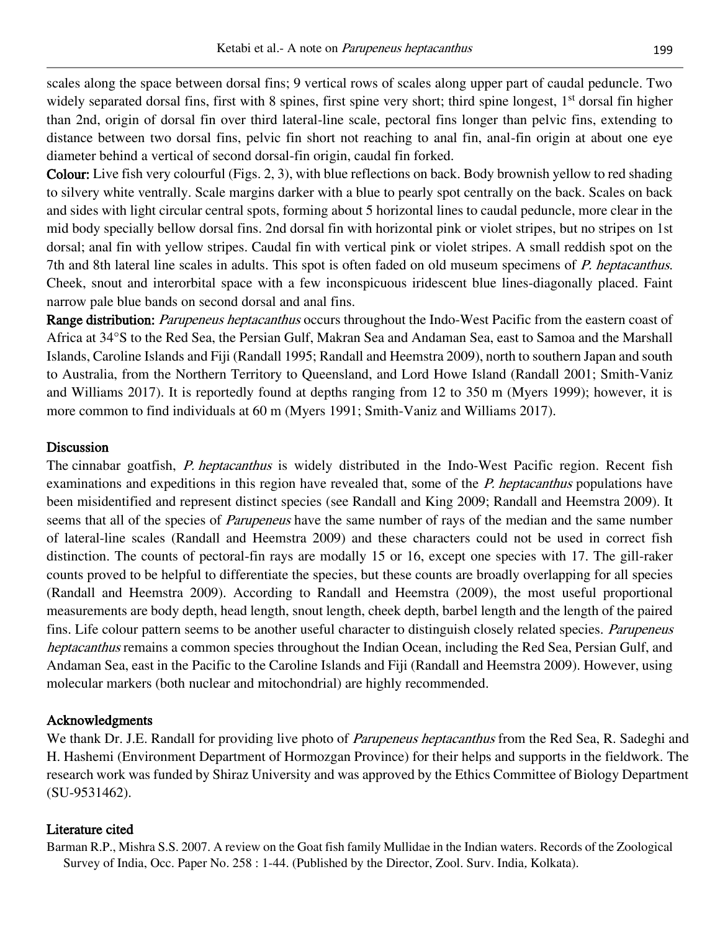scales along the space between dorsal fins; 9 vertical rows of scales along upper part of caudal peduncle. Two widely separated dorsal fins, first with 8 spines, first spine very short; third spine longest, 1<sup>st</sup> dorsal fin higher than 2nd, origin of dorsal fin over third lateral-line scale, pectoral fins longer than pelvic fins, extending to distance between two dorsal fins, pelvic fin short not reaching to anal fin, anal-fin origin at about one eye diameter behind a vertical of second dorsal-fin origin, caudal fin forked.

Colour: Live fish very colourful (Figs. 2, 3), with blue reflections on back. Body brownish yellow to red shading to silvery white ventrally. Scale margins darker with a blue to pearly spot centrally on the back. Scales on back and sides with light circular central spots, forming about 5 horizontal lines to caudal peduncle, more clear in the mid body specially bellow dorsal fins. 2nd dorsal fin with horizontal pink or violet stripes, but no stripes on 1st dorsal; anal fin with yellow stripes. Caudal fin with vertical pink or violet stripes. A small reddish spot on the 7th and 8th lateral line scales in adults. This spot is often faded on old museum specimens of *P. heptacanthus*. Cheek, snout and interorbital space with a few inconspicuous iridescent blue lines-diagonally placed. Faint narrow pale blue bands on second dorsal and anal fins.

Range distribution: *Parupeneus heptacanthus* occurs throughout the Indo-West Pacific from the eastern coast of Africa at 34°S to the Red Sea, the Persian Gulf, Makran Sea and Andaman Sea, east to Samoa and the Marshall Islands, Caroline Islands and Fiji (Randall 1995; Randall and Heemstra 2009), north to southern Japan and south to Australia, from the Northern Territory to Queensland, and Lord Howe Island (Randall 2001; Smith-Vaniz and Williams 2017). It is reportedly found at depths ranging from 12 to 350 m (Myers 1999); however, it is more common to find individuals at 60 m (Myers 1991; Smith-Vaniz and Williams 2017).

## **Discussion**

The cinnabar goatfish, *P. heptacanthus* is widely distributed in the Indo-West Pacific region. Recent fish examinations and expeditions in this region have revealed that, some of the *P. heptacanthus* populations have been misidentified and represent distinct species (see Randall and King 2009; Randall and Heemstra 2009). It seems that all of the species of *Parupeneus* have the same number of rays of the median and the same number of lateral-line scales (Randall and Heemstra 2009) and these characters could not be used in correct fish distinction. The counts of pectoral-fin rays are modally 15 or 16, except one species with 17. The gill-raker counts proved to be helpful to differentiate the species, but these counts are broadly overlapping for all species (Randall and Heemstra 2009). According to Randall and Heemstra (2009), the most useful proportional measurements are body depth, head length, snout length, cheek depth, barbel length and the length of the paired fins. Life colour pattern seems to be another useful character to distinguish closely related species. *Parupeneus* heptacanthus remains a common species throughout the Indian Ocean, including the Red Sea, Persian Gulf, and Andaman Sea, east in the Pacific to the Caroline Islands and Fiji (Randall and Heemstra 2009). However, using molecular markers (both nuclear and mitochondrial) are highly recommended.

## Acknowledgments

We thank Dr. J.E. Randall for providing live photo of *Parupeneus heptacanthus* from the Red Sea, R. Sadeghi and H. Hashemi (Environment Department of Hormozgan Province) for their helps and supports in the fieldwork. The research work was funded by Shiraz University and was approved by the Ethics Committee of Biology Department (SU-9531462).

## Literature cited

Barman R.P., Mishra S.S. 2007. A review on the Goat fish family Mullidae in the Indian waters. Records of the Zoological Survey of India, Occ. Paper No. 258 : 1-44. (Published by the Director, Zool. Surv. India, Kolkata).